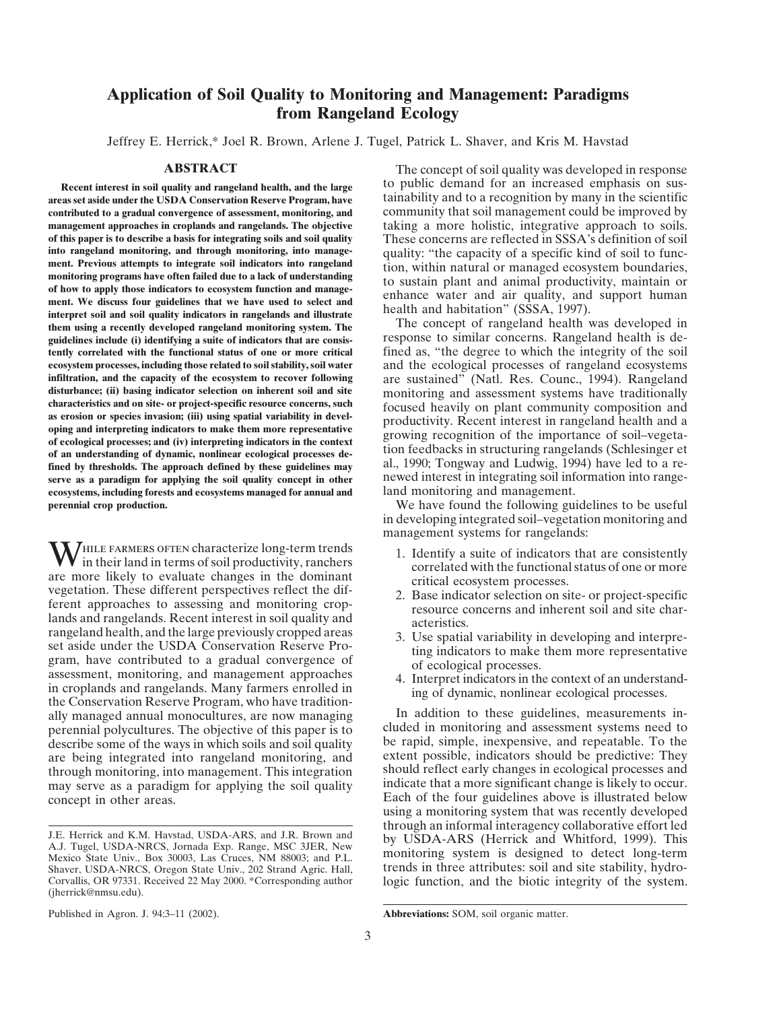# **Application of Soil Quality to Monitoring and Management: Paradigms from Rangeland Ecology**

Jeffrey E. Herrick,\* Joel R. Brown, Arlene J. Tugel, Patrick L. Shaver, and Kris M. Havstad

**areas set aside under the USDA Conservation Reserve Program, have** tainability and to a recognition by many in the scientific **contributed to a gradual convergence of assessment, monitoring, and** community that soil management could be improved by **management approaches in croplands and rangelands. The objective** taking a more holistic, integrative approach to soils.<br> **of this paper is to describe a basis for integrating soils and soil quality** These concerns are re **of this paper is to describe a basis for integrating soils and soil quality** These concerns are reflected in SSSA's definition of soil into rangeland monitoring, and through monitoring, into manage-<br>ment. Previous attempts to integrate soil indicators into rangeland<br>monitoring programs have often failed due to a lack of understanding<br>of how to apply those **them using a recently developed rangeland monitoring system. The** The concept of rangeland health was developed in **guidelines include (i) identifying a suite of indicators that are consis-** response to similar concerns. Rangeland health is de**tently correlated with the functional status of one or more critical** fined as, "the degree to which the integrity of the soil **ecosystem processes, including those related to soil stability, soil water** and the ecological processes of rangeland ecosystems infiltration, and the capacity of the ecosystem to recover following are sustained" (Natl. R **infiltration, and the capacity of the ecosystem to recover following** are sustained" (Natl. Res. Counc., 1994). Rangeland disturbance; (ii) basing indicator selection on inherent soil and site monitoring and assessment sy disturbance; (ii) basing indicator selection on inherent soil and site<br>characteristics and on site- or project-specific resource concerns, such<br>as erosion or species invasion; (iii) using spatial variability in devel-<br>opin **serve as a paradigm for applying the soil quality concept in other** newed interest in integrating soil information into range-<br>**ecosystems, including forests and ecosystems managed for annual and** and monitoring and manag ecosystems, including forests and ecosystems managed for annual and **perennial crop production.** We have found the following guidelines to be useful

WHILE FARMERS OFTEN characterize long-term trends<br>
are more likely to evaluate changes in the dominant<br>
vegetation. These different perpectives reflect the dif-<br>
ferent approaches to assessing and monitoring crop-<br>
lands a ally managed annual monocultures, are now managing In addition to these guidelines, measurements in-<br>necessarily not contribute the objective of this paper is to cluded in monitoring and assessment systems need to perennial polycultures. The objective of this paper is to cluded in monitoring and assessment systems need to describe some of the ways in which soils and soil quality be rapid, simple, inexpensive, and repeatable. To the describe some of the ways in which soils and soil quality be rapid, simple, inexpensive, and repeatable. To the are being integrated into rangeland monitoring, and extent possible, indicators should be predictive: They are being integrated into rangeland monitoring, and extent possible, indicators should be predictive: They through monitoring into management This integration should reflect early changes in ecological processes and through monitoring, into management. This integration should reflect early changes in ecological processes and<br>may serve as a paradigm for applying the soil quality indicate that a more significant change is likely to occu may serve as a paradigm for applying the soil quality concept in other areas. This concept is illustrated below Each of the four guidelines above is illustrated below

**ABSTRACT** The concept of soil quality was developed in response **Recent interest in soil quality and rangeland health, and the large** to public demand for an increased emphasis on sus-

in developing integrated soil–vegetation monitoring and management systems for rangelands:

- 
- 
- 
- 

using a monitoring system that was recently developed T.E. Herrick and K.M. Havstad, USDA-ARS, and J.R. Brown and A.J. Tugel, USDA-NRCS, Jornada Exp. Range, MSC 3JER, New<br>A.J. Tugel, USDA-NRCS, Jornada Exp. Range, MSC 3JER, New<br>Mexico State Univ., Box 30003, Las Cruces, NM 88 monitoring system is designed to detect long-term trends in three attributes: soil and site stability, hydro-

Shaver, USDA-NRCS, Oregon State Univ., 202 Strand Agric. Hall, Corvallis, OR 97331. Received 22 May 2000. \*Corresponding author Corvallis, OR 97331. Received 22 May 2000. \*Corresponding author logic function, and the biotic integrity of the system. (jherrick@nmsu.edu).

Published in Agron. J. 94:3–11 (2002). **Abbreviations:** SOM, soil organic matter.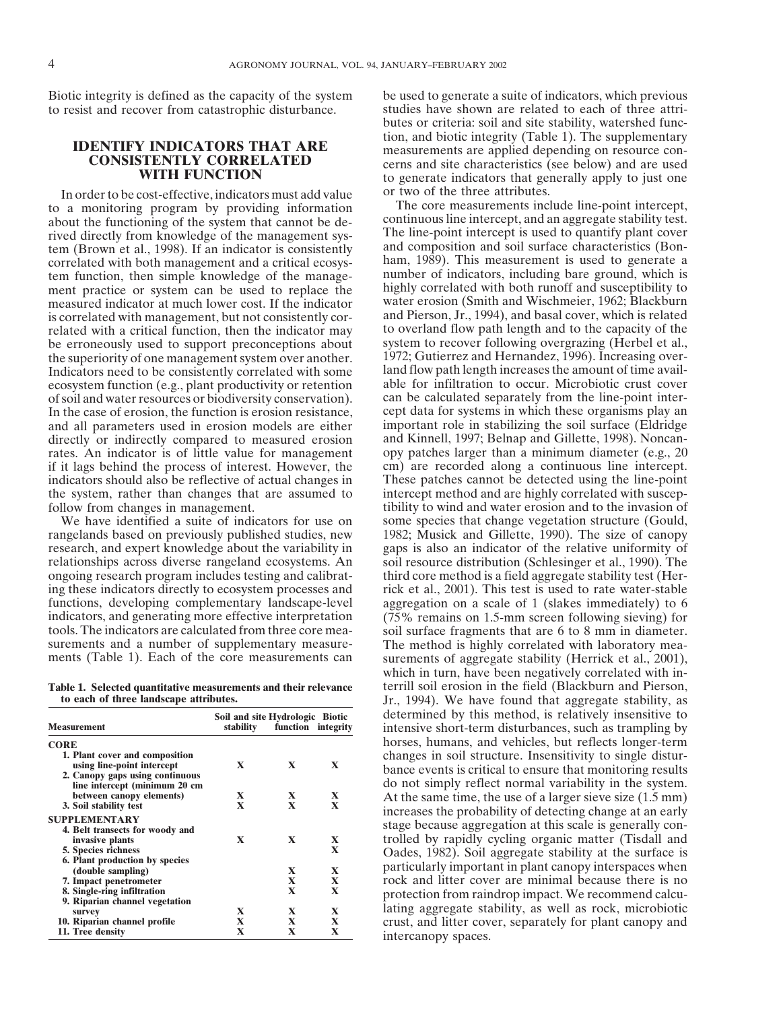Biotic integrity is defined as the capacity of the system be used to generate a suite of indicators, which previous to resist and recover from catastrophic disturbance. Studies have shown are related to each of three attri-

In order to be cost-effective, indicators must add value or two of the three attributes.<br>
to a monitoring program by providing information<br>
The core measurements include line-point intercept,<br>
about the functioning of the about the functioning of the system that cannot be de-<br>rived directly from knowledge of the management sys-<br>The line-point intercept is used to quantify plant cover The line-point intercept is used to quantify plant cover<br>tem (Brown et al., 1998). If an indicator is consistently and composition and soil surface characteristics (Bon-<br>correlated with both management and a critical ecosy correlated with both management and a critical ecosystem function, then simple knowledge of the management practice or system can be used to replace the measured indicator at much lower cost. If the indicator water erosion (Smith and Wischmeier, 1962; Blackburn is correlated with management, but not consistently cor-<br>and Pierson, Jr., 1994), and basal cover, which is relat related with a critical function, then the indicator may to overland flow path length and to the capacity of the<br>be erroneously used to support preconceptions about system to recover following overgrazing (Herbel et al., be erroneously used to support preconceptions about system to recover following overgrazing (Herbel et al., the superiority of one management system over another. 1972; Gutierrez and Hernandez, 1996). Increasing overthe superiority of one management system over another. 1972; Gutierrez and Hernandez, 1996). Increasing over-<br>Indicators need to be consistently correlated with some land flow path length increases the amount of time avail Indicators need to be consistently correlated with some land flow path length increases the amount of time avail-<br>ecosystem function (e.g., plant productivity or retention able for infiltration to occur. Microbiotic crust ecosystem function (e.g., plant productivity or retention able for infiltration to occur. Microbiotic crust cover of soil and water resources or biodiversity conservation). Can be calculated separately from the line-point of soil and water resources or biodiversity conservation). can be calculated separately from the line-point inter-In the case of erosion, the function is erosion resistance, cept data for systems in which these organisms play an and all parameters used in erosion models are either important role in stabilizing the soil surface (Eldrid and all parameters used in erosion models are either important role in stabilizing the soil surface (Eldridge directly or indirectly compared to measured erosion and Kinnell, 1997; Belnap and Gillette, 1998). Noncandirectly or indirectly compared to measured erosion and Kinnell, 1997; Belnap and Gillette, 1998). Noncan-<br>rates. An indicator is of little value for management opy patches larger than a minimum diameter (e.g., 20 rates. An indicator is of little value for management if it lags behind the process of interest. However, the cm) are recorded along a continuous line intercept.<br>indicators should also be reflective of actual changes in These patches cannot be detected using the line-point indicators should also be reflective of actual changes in the system, rather than changes that are assumed to intercept method and are highly correlated with suscepfollow from changes in management. the invasion of the invasion of the invasion of

rangelands based on previously published studies, new 1982; Musick and Gillette, 1990). The size of canopy research, and expert knowledge about the variability in gaps is also an indicator of the relative uniformity of relationships across diverse rangeland ecosystems. An soil resource distribution (Schlesinger et al., 1990). T relationships across diverse rangeland ecosystems. An soil resource distribution (Schlesinger et al., 1990). The ongoing research program includes testing and calibrat-<br>third core method is a field aggregate stability test ongoing research program includes testing and calibrat-<br>ing these indicators directly to ecosystem processes and<br>inck et al., 2001). This test is used to rate water-stable functions, developing complementary landscape-level indicators, and generating more effective interpretation indicators, and generating more effective interpretation (75% remains on 1.5-mm screen following sieving) for tools. The indicators are calculated from three core mea-<br>soil surface fragments that are 6 to 8 mm in diameter. tools. The indicators are calculated from three core mea-<br>soil surface fragments that are 6 to 8 mm in diameter.<br>The method is highly correlated with laboratory meaments (Table 1). Each of the core measurements can surements of aggregate stability (Herrick et al., 2001),

| <b>Measurement</b>              | Soil and site Hydrologic Biotic<br>stability | function integrity |              |
|---------------------------------|----------------------------------------------|--------------------|--------------|
| <b>CORE</b>                     |                                              |                    |              |
| 1. Plant cover and composition  |                                              |                    |              |
| using line-point intercept      | X.                                           | X                  | X            |
| 2. Canopy gaps using continuous |                                              |                    |              |
| line intercept (minimum 20 cm   |                                              |                    |              |
| between canopy elements)        | X.                                           | X                  | X            |
| 3. Soil stability test          | X                                            | $\mathbf x$        | X            |
| <b>SUPPLEMENTARY</b>            |                                              |                    |              |
| 4. Belt transects for woody and |                                              |                    |              |
| invasive plants                 | X                                            | X                  | X            |
| 5. Species richness             |                                              |                    | $\mathbf x$  |
| 6. Plant production by species  |                                              |                    |              |
| (double sampling)               |                                              | X                  | X            |
| 7. Impact penetrometer          |                                              | $\mathbf{x}$       | $\mathbf{x}$ |
| 8. Single-ring infiltration     |                                              | $\mathbf x$        | X            |
| 9. Riparian channel vegetation  |                                              |                    |              |
| survey                          | X                                            | X                  | X            |
| 10. Riparian channel profile    | X                                            | X                  | X            |
| 11. Tree density                | X                                            | X                  | X            |

butes or criteria: soil and site stability, watershed func-**IDENTIFY INDICATORS THAT ARE** fion, and biotic integrity (Table 1). The supplementary<br> **CONSISTENTLY CORRELATED** with **EUNCTION** the generate indicators that generally apply to just one

number of indicators, including bare ground, which is highly correlated with both runoff and susceptibility to and Pierson, Jr., 1994), and basal cover, which is related to overland flow path length and to the capacity of the We have identified a suite of indicators for use on some species that change vegetation structure (Gould, rick et al., 2001). This test is used to rate water-stable aggregation on a scale of  $1$  (slakes immediately) to  $6$ The method is highly correlated with laboratory meawhich in turn, have been negatively correlated with in-**Table 1. Selected quantitative measurements and their relevance** terrill soil erosion in the field (Blackburn and Pierson, to each of three landscape attributes. Jr., 1994). We have found that aggregate stability, as determined by this method, is relatively insensitive to intensive short-term disturbances, such as trampling by horses, humans, and vehicles, but reflects longer-term changes in soil structure. Insensitivity to single disturbance events is critical to ensure that monitoring results do not simply reflect normal variability in the system. At the same time, the use of a larger sieve size (1.5 mm) increases the probability of detecting change at an early stage because aggregation at this scale is generally controlled by rapidly cycling organic matter (Tisdall and **6. Oades, 1982). Soil aggregate stability at the surface is** particularly important in plant canopy interspaces when rock and litter cover are minimal because there is no **8. protection from raindrop impact. We recommend calcu**lating aggregate stability, as well as rock, microbiotic crust, and litter cover, separately for plant canopy and intercanopy spaces.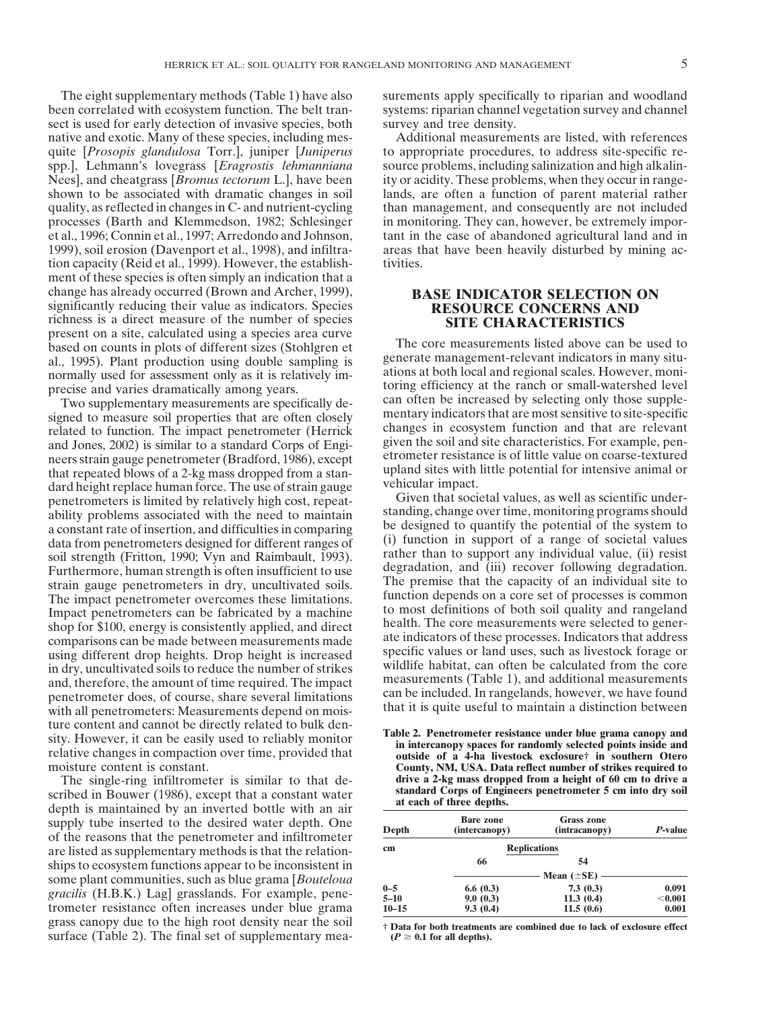been correlated with ecosystem function. The belt tran- systems: riparian channel vegetation survey and channel sect is used for early detection of invasive species, both survey and tree density. native and exotic. Many of these species, including mes- Additional measurements are listed, with references quite [*Prosopis glandulosa* Torr.], juniper [*Juniperus* to appropriate procedures, to address site-specific respp.], Lehmann's lovegrass [*Eragrostis lehmanniana* source problems, including salinization and high alkalin-<br>Nees], and cheatgrass [*Bromus tectorum* L.], have been ity or acidity. These problems, when they occur in rang shown to be associated with dramatic changes in soil lands, are often a function of parent material rather quality, as reflected in changes in C- and nutrient-cycling than management, and consequently are not included processes (Barth and Klemmedson, 1982; Schlesinger in monitoring. They can, however, be extremely imporet al., 1996; Connin et al., 1997; Arredondo and Johnson, tant in the case of abandoned agricultural land and in 1999), soil erosion (Davenport et al., 1998), and infiltra- areas that have been heavily disturbed by mining action capacity (Reid et al., 1999). However, the establish- tivities. ment of these species is often simply an indication that a change has already occurred (Brown and Archer, 1999),<br> **BASE INDICATOR SELECTION ON**<br> **RESOURCE CONCERNS AND** significantly reducing their value as indicators. Species **RESOURCE CONCERNS AN**<br>richness is a direct measure of the number of species **RESOURCE CHARACTERISTICS** richness is a direct measure of the number of species present on a site, calculated using a species area curve present on a site, calculated using a species area curve<br>based on counts in plots of different sizes (Stohlgren et<br>al., 1995). Plant production using double sampling is<br>normally used for assessment only as it is relatively

signed to measure soil properties that are often closely<br>
related to function. The impact penetrometer (Herrick<br>
and Jones, 2002) is similar to a standard Corps of Engi-<br>
neers strain gauge penetrometer (Bradford, 1986), e soil strength (Fritton, 1990; Vyn and Raimbault, 1993). Tather than to support any individual value, (ii) resist<br>Furthermore, human strength is often insufficient to use degradation, and (iii) recover following degradation strain gauge penetrometers in dry, uncultivated soils. The premise that the capacity of an individual site to The impact penetrometer overcomes these limitations. function depends on a core set of processes is common Impact penetrometers can be fabricated by a machine to most definitions of both soil quality and rangeland Impact penetrometers can be fabricated by a machine<br>shop for \$100, energy is consistently applied, and direct<br>comparisons can be made between measurements made<br>using different drop heights. Drop height is increased<br>in dry, penetrometer does, of course, share several limitations with all penetrometers: Measurements depend on mois-<br>that it is quite useful to maintain a distinction between<br>ture content and cannot be directly related to bulk den

scribed in Bouwer (1986), except that a constant water<br>depth is maintained by an inverted bottle with an air<br>depths. supply tube inserted to the desired water depth. One of the reasons that the penetrometer and infiltrometer are listed as supplementary methods is that the relation-<br>ships to ecosystem functions appear to be inconsistent in<br>some plant communities, such as blue grama [*Bouteloua*  $\alpha$ *sracilis* (H.B.K.) Lag] grasslands. For example, penetrometer resistance often increases under blue grama grass canopy due to the high root density near the soil  $\frac{1}{t}$  **Data for both treatments are combined due to lack of exclosure effect** surface (Table 2). The final set of supplementary mea- $(P \ge 0.1$  for all depths). surface (Table 2). The final set of supplementary mea-

The eight supplementary methods (Table 1) have also surements apply specifically to riparian and woodland

ity or acidity. These problems, when they occur in range-

precise and varies dramatically among years.<br>Two supplementary measurements are specifically de-<br>signed to measure soil properties that are often closely<br>mentary indicators that are most sensitive to site-specific

Example 2. Penetrometer resistance under blue grama canopy and<br>sity. However, it can be easily used to reliably monitor<br>relative changes in compaction over time, provided that<br>moisture content is constant.<br>County, NM, USA. County, NM, USA. Data reflect number of strikes required to drive a 2-kg mass dropped from a height of 60 cm to drive a The single-ring infiltrometer is similar to that de-<br> **drive a 2-kg mass dropped from a height of 60 cm to drive a**<br> **drive a 2-kg mass dropped from a height of 60 cm to drive a**<br> **drive a 2-kg mass dropped from a height o** 

| Depth     | <b>Bare zone</b><br>(intercanopy) | <b>Grass zone</b><br>(intracanopy) | P-value        |
|-----------|-----------------------------------|------------------------------------|----------------|
| cm        |                                   | <b>Replications</b>                |                |
|           | 66                                | 54                                 |                |
|           |                                   |                                    |                |
| $0 - 5$   | 6.6(0.3)                          | 7.3(0.3)                           | 0.091          |
| $5 - 10$  | 9.0(0.3)                          | 11.3(0.4)                          | $<$ 0.001 $\,$ |
| $10 - 15$ | 9.3(0.4)                          | 11.5(0.6)                          | 0.001          |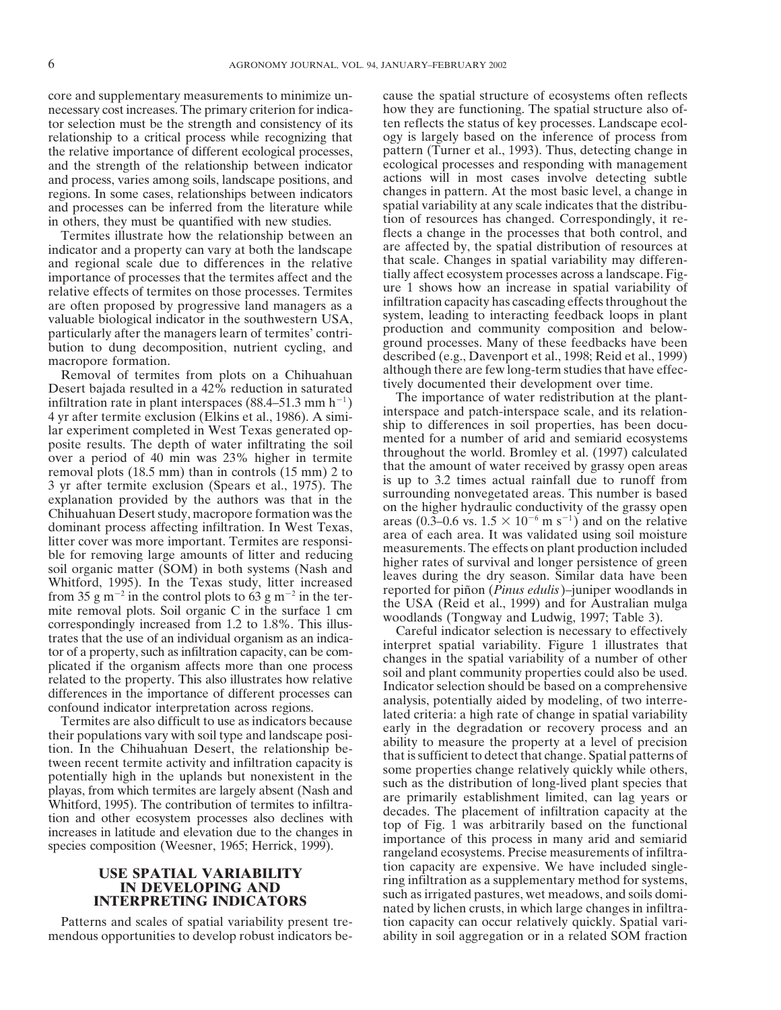necessary cost increases. The primary criterion for indica- how they are functioning. The spatial structure also oftor selection must be the strength and consistency of its ten reflects the status of key processes. Landscape ecolrelationship to a critical process while recognizing that ogy is largely based on the inference of process from the relative importance of different ecological processes, pattern (Turner et al., 1993). Thus, detecting change in and the strength of the relationship between indicator ecological processes and responding with management and the strength of the relationship between indicator ecological processes and responding with management and process varies among soils landscape positions and actions will in most cases involve detecting subtle and process, varies among soils, landscape positions, and actions will in most cases involve detecting subtle regions. In some cases, relationships between indicators changes in pattern. At the most basic level, a change i regions. In some cases, relationships between indicators changes in pattern. At the most basic level, a change in and processes can be inferred from the literature while spatial variability at any scale indicates that the and processes can be inferred from the literature while in others, they must be quantified with new studies. The in other sequences has changed. Correspondingly, it re-

indicator and a property can vary at both the landscape<br>
are affected by, the spatial distribution of resources at<br>
and regional scale due to differences in the relative<br>
integral that scale. Changes in spatial variability bution to dung decomposition, nutrient cycling, and<br>macropore formation.<br>described (e.g., Davenport et al., 1998; Reid et al., 1999)

Desert bajada resulted in a 42% reduction in saturated<br>in  $\frac{1}{2}$  the importance of water redistribution at the plant-<br>infiltration rate in plant-interspaces (88.4, 51.3 mm h<sup>-1</sup>) infiltration rate in plant interspaces (884.4.13 am n<sup>-1</sup>) The importance of water redistribution at the plant interspect same interspect and its redistor-<br>interspect and its relation-<br>posite results on the filtration con

mendous opportunities to develop robust indicators be- ability in soil aggregation or in a related SOM fraction

core and supplementary measurements to minimize un- cause the spatial structure of ecosystems often reflects Termites illustrate how the relationship between an flects a change in the processes that both control, and dicator and a property can vary at both the landscape are affected by, the spatial distribution of resources at although there are few long-term studies that have effec-<br>Removal of termites from plots on a Chihuahuan<br>exact baixed possibled in a 42% reduction in saturated their development over time.

**USE SPATIAL VARIABILITY** tion capacity are expensive. We have included single-<br> **IN DEVELOPING AND**<br> **INTERPRETING INDICATORS** such as irrigated pastures, wet meadows, and soils domi-<br>
nated by lichen crusts, in which lar Patterns and scales of spatial variability present tre- tion capacity can occur relatively quickly. Spatial vari-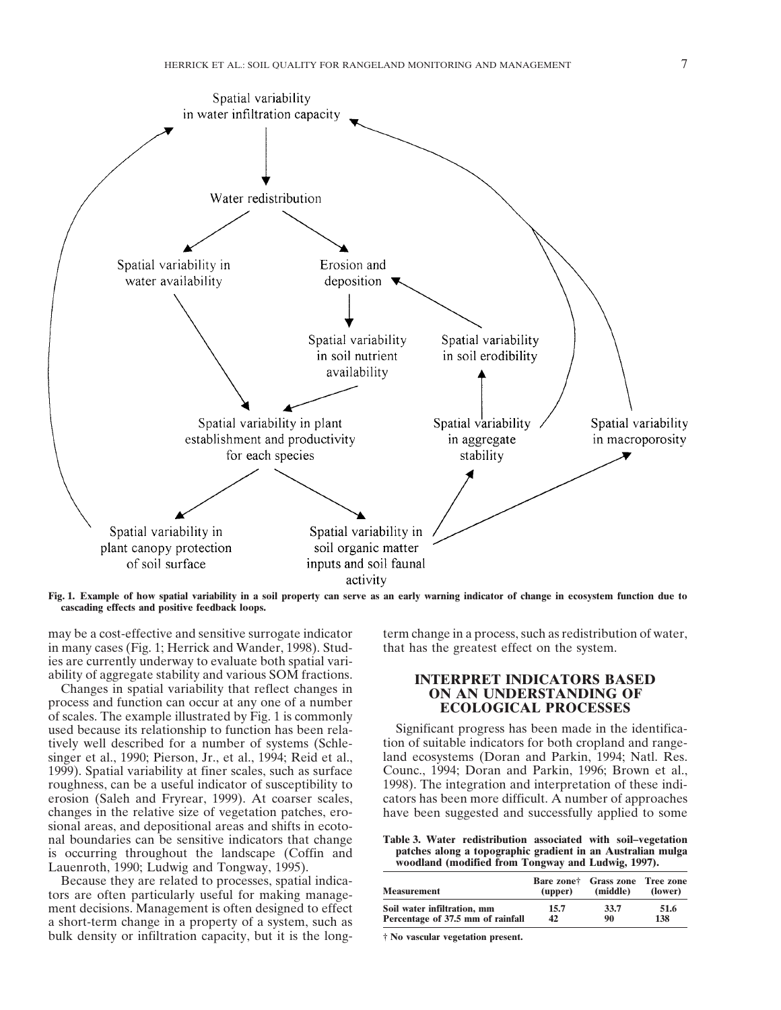

**Fig. 1. Example of how spatial variability in a soil property can serve as an early warning indicator of change in ecosystem function due to cascading effects and positive feedback loops.**

in many cases (Fig. 1; Herrick and Wander, 1998). Stud- that has the greatest effect on the system. ies are currently underway to evaluate both spatial vari-<br>ability of aggregate stability and various SOM fractions.

ability of aggregate stability and various SOM fractions.<br>
Changes in spatial variability that reflect changes in<br>
process and function can occur at any one of a number<br>
of scales. The example illustrated by Fig. 1 is comm used because its relationship to function has been relatively well described for a number of systems (Schle-<br>singer et al., 1990; Pierson, Jr., et al., 1994; Reid et al., land ecosystems (Doran and Parkin, 1994; Natl. Res. singer et al., 1990; Pierson, Jr., et al., 1994; Reid et al., land ecosystems (Doran and Parkin, 1994; Natl. Res. 1999). Spatial variability at finer scales, such as surface Counc., 1994; Doran and Parkin, 1996; Brown et a 1999). Spatial variability at finer scales, such as surface Counc., 1994; Doran and Parkin, 1996; Brown et al., roughness, can be a useful indicator of susceptibility to 1998). The integration and interpretation of these i roughness, can be a useful indicator of susceptibility to erosion (Saleh and Fryrear, 1999). At coarser scales, erosion (Saleh and Fryrear, 1999). At coarser scales, cators has been more difficult. A number of approaches changes in the relative size of vegetation patches, ero-<br>have been suggested and successfully applied to some sional areas, and depositional areas and shifts in ecoto-<br>nal boundaries can be sensitive indicators that change is occurring throughout the landscape (Coffin and **patches along a topographic gradient in an Australian i** Lauenroth, 1990; Ludwig and Tongway, 1995).

Because they are related to processes, spatial indicators are often particularly useful for making management decisions. Management is often designed to effect a short-term change in a property of a system, such as bulk density or infiltration capacity, but it is the long- **† No vascular vegetation present.**

may be a cost-effective and sensitive surrogate indicator term change in a process, such as redistribution of water,

have been suggested and successfully applied to some

Table 3. Water redistribution associated with soil–vegetation patches along a topographic gradient in an Australian mulga

| Measurement                       | (upper) | Bare zone† Grass zone Tree zone<br>(middle) | (lower) |
|-----------------------------------|---------|---------------------------------------------|---------|
| Soil water infiltration, mm       | 15.7    | 33.7                                        | 51.6    |
| Percentage of 37.5 mm of rainfall | 42      | 90                                          | 138     |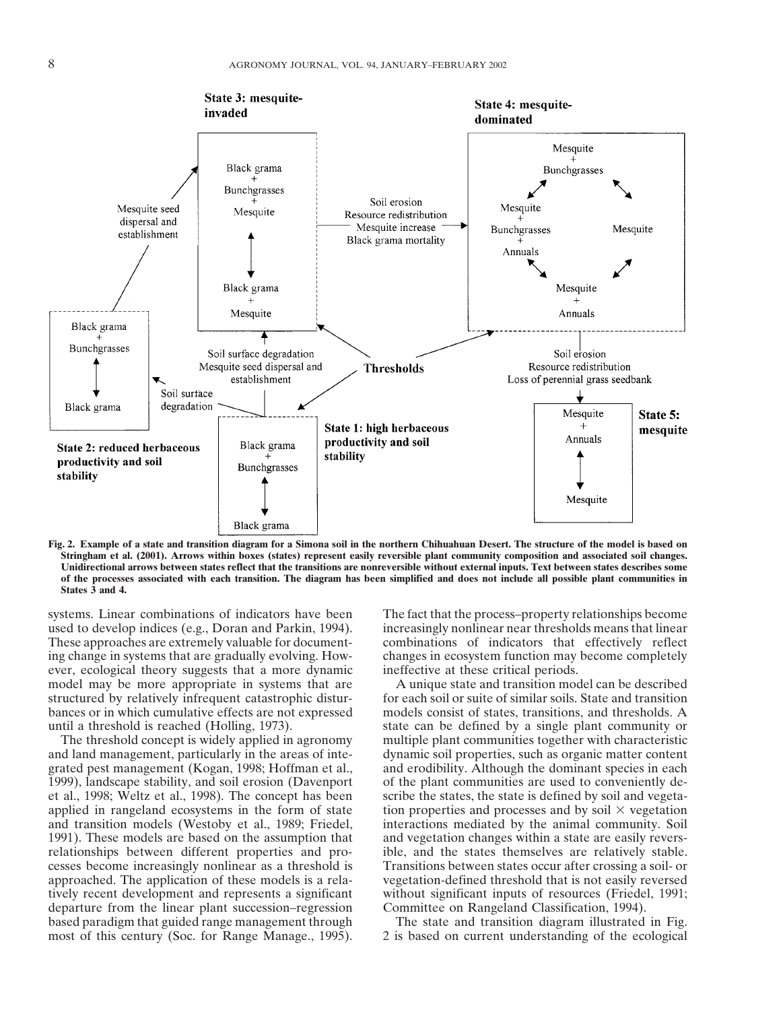

**Fig. 2. Example of a state and transition diagram for a Simona soil in the northern Chihuahuan Desert. The structure of the model is based on Stringham et al. (2001). Arrows within boxes (states) represent easily reversible plant community composition and associated soil changes. Unidirectional arrows between states reflect that the transitions are nonreversible without external inputs. Text between states describes some of the processes associated with each transition. The diagram has been simplified and does not include all possible plant communities in States 3 and 4.**

used to develop indices (e.g., Doran and Parkin, 1994). increasingly nonlinear near thresholds means that linear These approaches are extremely valuable for document- combinations of indicators that effectively reflect ing change in systems that are gradually evolving. How- changes in ecosystem function may become completely ever, ecological theory suggests that a more dynamic ineffective at these critical periods. model may be more appropriate in systems that are <br>structured by relatively infrequent catastrophic distur-<br>for each soil or suite of similar soils. State and transition structured by relatively infrequent catastrophic disturbances or in which cumulative effects are not expressed models consist of states, transitions, and thresholds. A until a threshold is reached (Holling, 1973). state can be defined by a single plant community or

and land management, particularly in the areas of inte- dynamic soil properties, such as organic matter content grated pest management (Kogan, 1998; Hoffman et al., and erodibility. Although the dominant species in each 1999), landscape stability, and soil erosion (Davenport of the plant communities are used to conveniently deet al., 1998; Weltz et al., 1998). The concept has been scribe the states, the state is defined by soil and vegetaapplied in rangeland ecosystems in the form of state tion properties and processes and by soil  $\times$  vegetation and transition models (Westoby et al., 1989; Friedel, interactions mediated by the animal community. Soil 1991). These models are based on the assumption that and vegetation changes within a state are easily reversrelationships between different properties and pro- ible, and the states themselves are relatively stable. cesses become increasingly nonlinear as a threshold is Transitions between states occur after crossing a soil- or approached. The application of these models is a rela- vegetation-defined threshold that is not easily reversed tively recent development and represents a significant without significant inputs of resources (Friedel, 1991; departure from the linear plant succession–regression Committee on Rangeland Classification, 1994).

systems. Linear combinations of indicators have been The fact that the process–property relationships become

The threshold concept is widely applied in agronomy multiple plant communities together with characteristic

based paradigm that guided range management through The state and transition diagram illustrated in Fig. most of this century (Soc. for Range Manage., 1995). 2 is based on current understanding of the ecological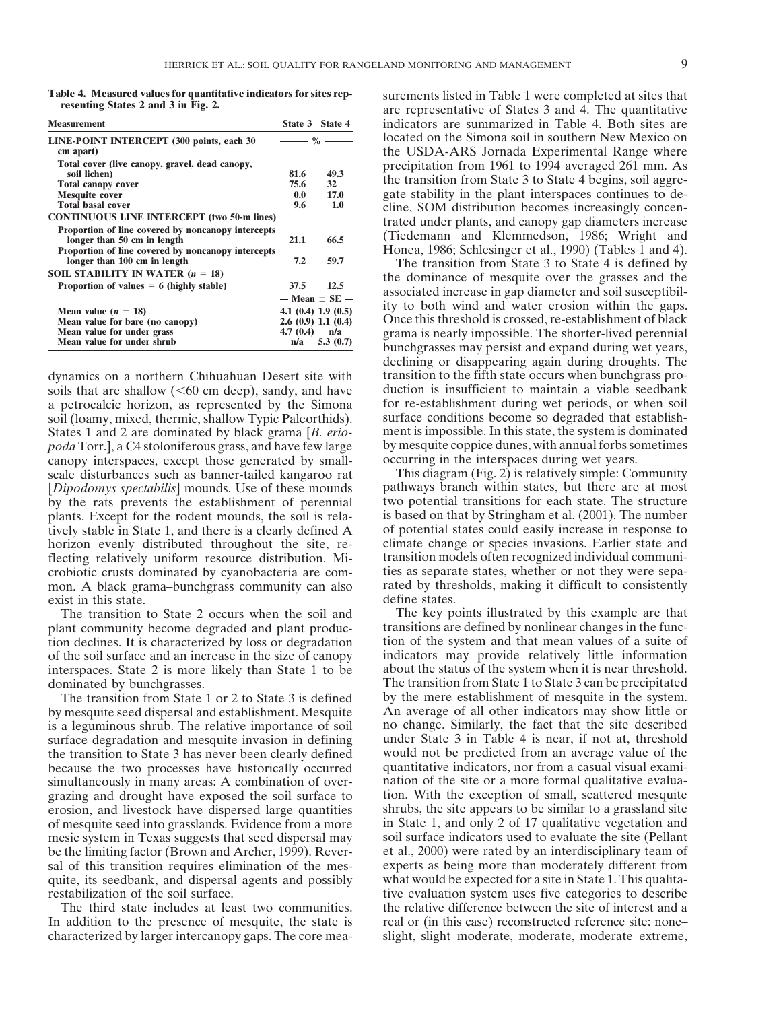|                                                                                                                                           |                                                                                                                       |                                       | are representative of states cally 4. The qualititative                                                                                                                                                                               |  |  |
|-------------------------------------------------------------------------------------------------------------------------------------------|-----------------------------------------------------------------------------------------------------------------------|---------------------------------------|---------------------------------------------------------------------------------------------------------------------------------------------------------------------------------------------------------------------------------------|--|--|
| <b>Measurement</b>                                                                                                                        |                                                                                                                       | State 3 State 4                       | indicators are summarized in Table 4. Both sites are                                                                                                                                                                                  |  |  |
| LINE-POINT INTERCEPT (300 points, each 30<br>cm apart)                                                                                    |                                                                                                                       | $\longrightarrow$ % $\longrightarrow$ | located on the Simona soil in southern New Mexico on<br>the USDA-ARS Jornada Experimental Range where                                                                                                                                 |  |  |
| Total cover (live canopy, gravel, dead canopy,<br>soil lichen)<br><b>Total canopy cover</b><br><b>Mesquite cover</b><br>Total basal cover | 81.6<br>75.6<br>0.0<br>9.6                                                                                            | 49.3<br>32<br>17.0<br>1.0             | precipitation from 1961 to 1994 averaged 261 mm. As<br>the transition from State 3 to State 4 begins, soil aggre-<br>gate stability in the plant interspaces continues to de-<br>cline, SOM distribution becomes increasingly concen- |  |  |
| <b>CONTINUOUS LINE INTERCEPT</b> (two 50-m lines)<br>Proportion of line covered by noncanopy intercepts<br>longer than 50 cm in length    | trated under plants, and canopy gap diameters increase<br>(Tiedemann and Klemmedson, 1986; Wright and<br>21.1<br>66.5 |                                       |                                                                                                                                                                                                                                       |  |  |
| Proportion of line covered by noncanopy intercepts<br>longer than 100 cm in length                                                        | 7.2                                                                                                                   | 59.7                                  | Honea, 1986; Schlesinger et al., 1990) (Tables 1 and 4).<br>The transition from State 3 to State 4 is defined by                                                                                                                      |  |  |
| SOIL STABILITY IN WATER $(n = 18)$<br>Proportion of values $= 6$ (highly stable)                                                          | 37.5                                                                                                                  | 12.5<br>$-$ Mean $\pm$ SE $-$         | the dominance of mesquite over the grasses and the<br>associated increase in gap diameter and soil susceptibil-                                                                                                                       |  |  |
| Mean value $(n = 18)$<br>Mean value for bare (no canopy)<br>Mean value for under grass<br>Mean value for under shrub                      | 4.1 $(0.4)$ 1.9 $(0.5)$<br>2.6(0.9) 1.1(0.4)<br>4.7 $(0.4)$ n/a<br>5.3 $(0.7)$<br>n/a                                 |                                       | ity to both wind and water erosion within the gaps.<br>Once this threshold is crossed, re-establishment of black<br>grama is nearly impossible. The shorter-lived perennial<br>bunchgrasses may persist and expand during wet years,  |  |  |

soils that are shallow  $( $60 \text{ cm}$  deep)$ , sandy, and have a petrocalcic horizon, as represented by the Simona for re-establishment during wet periods, or when soil<br>soil (loamy mixed thermic shallow Typic Paleorthids) surface conditions become so degraded that establishsoil (loamy, mixed, thermic, shallow Typic Paleorthids). surface conditions become so degraded that establish-<br>States 1 and 2 are dominated by black grama  $[B, erio$ - ment is impossible. In this state, the system is dominated States 1 and 2 are dominated by black grama [*B. erio-* ment is impossible. In this state, the system is dominated poda Torr.], a C4 stoloniferous grass, and have few large by mesquite coppice dunes, with annual forbs some *poda* Torr.], a C4 stoloniferous grass, and have few large by mesquite coppice dunes, with annual forbs so canopy interspaces, except those generated by small-<br>cocurring in the interspaces during wet years. canopy interspaces, except those generated by smallscale disturbances such as banner-tailed kangaroo rat This diagram (Fig. 2) is relatively simple: Community [*Dipodomys spectabilis*] mounds. Use of these mounds pathways branch within states, but there are at most by the rats prevents the establishment of perennial two potential transitions for each state. The structure by the rats prevents the establishment of perennial two potential transitions for each state. The structure plants. Except for the rodent mounds, the soil is rela-<br>is based on that by Stringham et al. (2001). The number plants. Except for the rodent mounds, the soil is relatively stable in State 1, and there is a clearly defined A of potential states could easily increase in response to horizon evenly distributed throughout the site, re-<br>climate change or species invasions. Earlier state and horizon evenly distributed throughout the site, reflecting relatively uniform resource distribution. Mi- transition models often recognized individual communicrobiotic crusts dominated by cyanobacteria are com-<br>mon. A black grama-buncherass community can also rated by thresholds, making it difficult to consistently mon. A black grama–bunchgrass community can also rated by thre exist in this state. define states, exist in this state.<br>The transition to State 2 occurs when the soil and The key points illustrated by this example are that

plant community become degraded and plant production declines. It is characterized by loss or degradation tion of the system and that mean values of a suite of of the soil surface and an increase in the size of canopy indicators may provide relatively little information interspaces. State 2 is more likely than State 1 to be about the status of the system when it is near threshold.

by mesquite seed dispersal and establishment. Mesquite  $\theta$ is a leguminous shrub. The relative importance of soil is no change. Similarly, the fact that the site described surface degradation and mesquite invasion in defining under State 3 in Table 4 is near, if not at, threshold surface degradation and mesquite invasion in defining the transition to State 3 has never been clearly defined would not be predicted from an average value of the because the two processes have historically occurred quantitative indicators, nor from a casual visual examibecause the two processes have historically occurred quantitative indicators, nor from a casual visual examisimultaneously in many areas: A combination of over-<br>nation of the site or a more formal qualitative evaluasimultaneously in many areas: A combination of over-<br>
grazing and drought have exposed the soil surface to tion. With the exception of small, scattered mesquite grazing and drought have exposed the soil surface to tion. With the exception of small, scattered mesquite erosion, and livestock have dispersed large quantities shrubs, the site appears to be similar to a grassland site erosion, and livestock have dispersed large quantities of mesquite seed into grasslands. Evidence from a more in State 1, and only 2 of 17 qualitative vegetation and mesic system in Texas suggests that seed dispersal may soil surface indicators used to evaluate the site (Pella mesic system in Texas suggests that seed dispersal may be the limiting factor (Brown and Archer, 1999). Rever-<br>sal of this transition requires elimination of the mes-<br>experts as being more than moderately different from sal of this transition requires elimination of the mesquite, its seedbank, and dispersal agents and possibly restabilization of the soil surface. tive evaluation system uses five categories to describe

In addition to the presence of mesquite, the state is real or (in this case) reconstructed reference site: none– characterized by larger intercanopy gaps. The core mea- slight, slight–moderate, moderate, moderate–extreme,

Table 4. Measured values for quantitative indicators for sites rep-<br>resenting States 2 and 3 in Fig. 2.<br>are representative of States 3 and 4. The quantitative indicators are summarized in Table 4. Both sites are **Located on the Simona soil in southern New Mexico on cm apart)** the USDA-ARS Jornada Experimental Range where precipitation from 1961 to 1994 averaged 261 mm. As the transition from State 3 to State 4 begins, soil aggregate stability in the plant interspaces continues to decline, SOM distribution becomes increasingly concentrated under plants, and canopy gap diameters increase (Tiedemann and Klemmedson, 1986; Wright and **Honea, 1986; Schlesinger et al., 1990) (Tables 1 and 4).** 

Once this threshold is crossed, re-establishment of black grama is nearly impossible. The shorter-lived perennial bunchgrasses may persist and expand during wet years, declining or disappearing again during droughts. The dynamics on a northern Chihuahuan Desert site with transition to the fifth state occurs when bunchgrass production is insufficient to maintain a viable seedbank<br>for re-establishment during wet periods, or when soil

The transition to State 2 occurs when the soil and The key points illustrated by this example are that The key points illustrated by this example are that transitions are defined by nonlinear changes in the funcdominated by bunchgrasses.<br>The transition from State 1 or 2 to State 3 is defined by the mere establishment of mesquite in the system. The transition from State 1 or 2 to State 3 is defined by the mere establishment of mesquite in the system.<br>The system in the system of mesquite in the system of mesquite in the system of mesquite seed dispersal and establ what would be expected for a site in State 1. This qualita-The third state includes at least two communities. the relative difference between the site of interest and a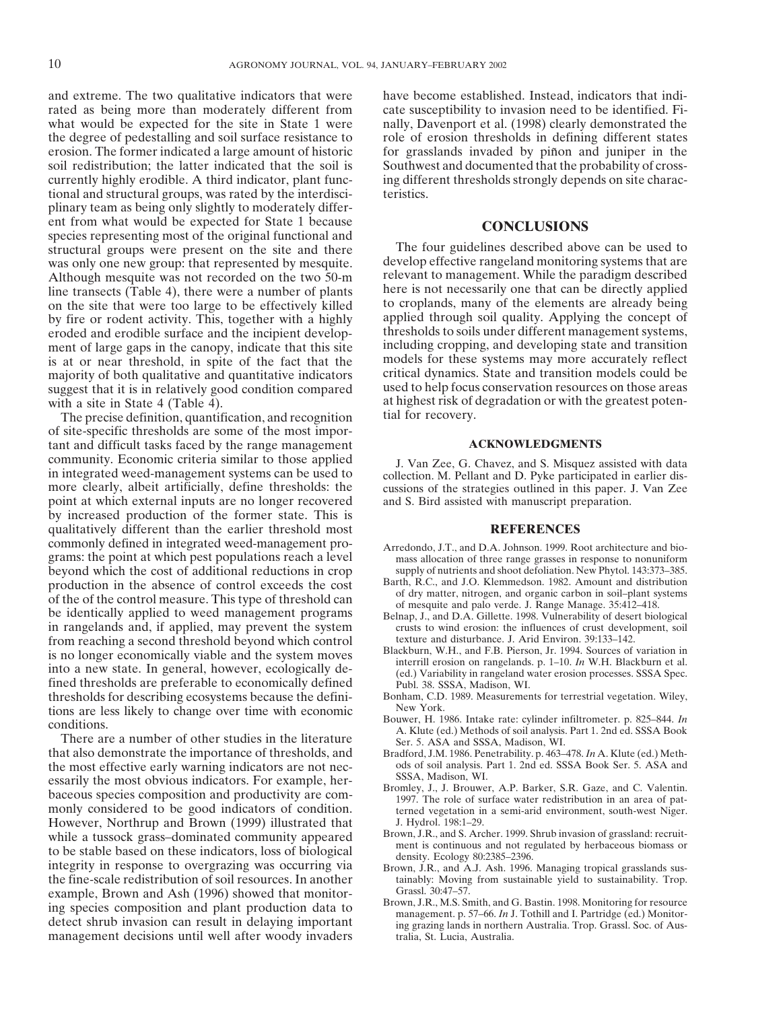and extreme. The two qualitative indicators that were have become established. Instead, indicators that indirated as being more than moderately different from cate susceptibility to invasion need to be identified. Fiwhat would be expected for the site in State 1 were nally, Davenport et al. (1998) clearly demonstrated the the degree of pedestalling and soil surface resistance to role of erosion thresholds in defining different states erosion. The former indicated a large amount of historic for grasslands invaded by pinon and juniper in the soil redistribution; the latter indicated that the soil is Southwest and documented that the probability of crosscurrently highly erodible. A third indicator, plant func- ing different thresholds strongly depends on site charactional and structural groups, was rated by the interdisci- teristics. plinary team as being only slightly to moderately different from what would be expected for State 1 because<br>species representing most of the original functional and<br>structural groups were present on the site and there The four guidelines described above can be used to structural groups were present on the site and there The four guidelines described above can be used to was only one new group: that represented by mesquite develop effective rangeland monitoring systems that are was only one new group: that represented by mesquite. develop effective rangeland monitoring systems that are<br>Although mesquite was not recorded on the two 50-m relevant to management. While the paradigm described Although mesquite was not recorded on the two 50-m relevant to management. While the paradigm described<br>line transects (Table 4) there were a number of plants here is not necessarily one that can be directly applied line transects (Table 4), there were a number of plants on the site that were too large to be effectively killed to croplands, many of the elements are already being by fire or rodent activity. This, together with a highly applied through soil quality. Applying the concept of eroded and erodible surface and the incipient develop-<br>thresholds to soils under different management systems, eroded and erodible surface and the incipient develop-<br>ment of large gaps in the canopy, indicate that this site including cropping, and developing state and transition ment of large gaps in the canopy, indicate that this site including cropping, and developing state and transition is at or near threshold in spite of the fact that the models for these systems may more accurately reflect is at or near threshold, in spite of the fact that the models for these systems may more accurately reflect majority of both qualitative and quantitative indicators critical dynamics. State and transition models could be majority of both qualitative and quantitative indicators critical dynamics. State and transition models could be<br>suggest that it is in relatively good condition compared used to help focus conservation resources on those a suggest that it is in relatively good condition compared

The precise definition, quantification, and recognition of site-specific thresholds are some of the most important and difficult tasks faced by the range management **ACKNOWLEDGMENTS** community. Economic criteria similar to those applied<br>in integrated weed-management systems can be used to<br>more clearly, albeit artificially, define thresholds: the<br>more clearly, albeit artificially, define thresholds: the point at which external inputs are no longer recovered and S. Bird assisted with manuscript preparation. by increased production of the former state. This is qualitatively different than the earlier threshold most **REFERENCES** commonly defined in integrated weed-management pro-<br>grams: the point at which pest populations reach a level<br>mass allocation of three range grasses in response to nonuniform grams: the point at which pest populations reach a level beyond which the cost of additional reductions in crop supply of nutrients and shoot defoliation. New Phytol. 143:373–385.<br>
production in the absence of control exceeds the cost Barth, R.C., and J.O. Klemmedson. 1982. Amou production in the absence of control exceeds the cost<br>of the stribution<br>of the control measure. This type of threshold can<br>be identically applied to weed management programs<br>be identically applied to weed management progra in rangelands and, if applied, may prevent the system crusts to wind erosion: the influences of crust development, soil<br>from reaching a second threshold beyond which control texture and disturbance. J. Arid Environ. 39:133 from reaching a second threshold beyond which control is no longer economically viable and the system moves<br>is no longer economically viable and the system moves<br>into a new state. In general, however, ecologically de-<br>fine thresholds for describing ecosystems because the defini-<br>
Bonham, C.D. 1989. Measurements for terrestrial vegetation. Wiley,<br>
New York.

the most effective early warning indicators are not nec-<br>essertive the most obvious indicators. For example, her. SSSA, Madison, WI. essarily the most obvious indicators. For example, her-<br>baceous species composition and productivity are com-<br>monly considered to be good indicators of condition.<br>terned vegetation in a semi-arid environment, south-west Ni monly considered to be good indicators of condition. terned vegetation in a series Northrup and Brown (1999) illustrated that J. Hydrol. 198:1–29. However, Northrup and Brown (1999) illustrated that J. Hydrol. 198:1–29.<br>While a tussock grass-dominated community appeared Brown, J.R., and S. Archer. 1999. Shrub invasion of grassland: recruitwhile a tussock grass–dominated community appeared Brown, J.R., and S. Archer. 1999. Shrub invasion of grassland: recruit-<br>to be stable based on these indicators, loss of biological ment is continuous and not regulated by to be stable based on these indicators, loss of biological<br>integrity in response to overgrazing was occurring via<br>the fine-scale redistribution of soil resources. In another tainably: Moving from sustainable yield to susta the fine-scale redistribution of soil resources. In another tainably: Moving example Brown and Ash (1996) showed that monitor- Grassl. 30:47–57. example, Brown and Ash (1996) showed that monitor-<br>ing species composition and plant production data to<br>detect shrub invasion can result in delaying important<br>detect shrub invasion can result in delaying important<br>detect s management decisions until well after woody invaders tralia, St. Lucia, Australia.

with a site in State 4 (Table 4). at highest risk of degradation or with the greatest poten-<br>The precise definition, quantification, and recognition itial for recovery.

- 
- 
- 
- 
- 
- tions are less likely to change over time with economic<br>conditions.<br>Conditions.<br>There are a number of other studies in the literature<br>that also demonstrate the importance of thresholds, and<br>that also demonstrate the import
	- Bradford, J.M. 1986. Penetrability. p. 463–478. *In* A. Klute (ed.) Meth-<br>ods of soil analysis. Part 1. 2nd ed. SSSA Book Ser. 5. ASA and
	-
	-
	-
	-